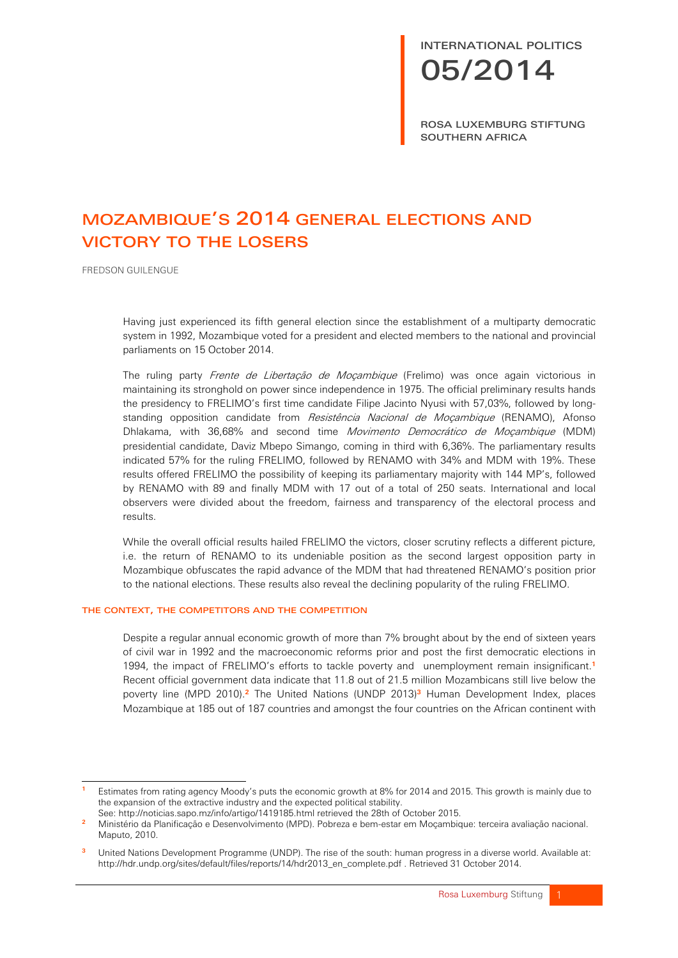# INTERNATIONAL POLITICS 05/2014

ROSA LUXEMBURG STIFTUNG SOUTHERN AFRICA

# MOZAMBIQUE'S 2014 GENERAL ELECTIONS AND VICTORY TO THE LOSERS

FREDSON GUILENGUE

Having just experienced its fifth general election since the establishment of a multiparty democratic system in 1992, Mozambique voted for a president and elected members to the national and provincial parliaments on 15 October 2014.

The ruling party Frente de Libertação de Moçambique (Frelimo) was once again victorious in maintaining its stronghold on power since independence in 1975. The official preliminary results hands the presidency to FRELIMO's first time candidate Filipe Jacinto Nyusi with 57,03%, followed by longstanding opposition candidate from *Resistência Nacional de Mocambique* (RENAMO), Afonso Dhlakama, with 36,68% and second time Movimento Democrático de Moçambique (MDM) presidential candidate, Daviz Mbepo Simango, coming in third with 6,36%. The parliamentary results indicated 57% for the ruling FRELIMO, followed by RENAMO with 34% and MDM with 19%. These results offered FRELIMO the possibility of keeping its parliamentary majority with 144 MP's, followed by RENAMO with 89 and finally MDM with 17 out of a total of 250 seats. International and local observers were divided about the freedom, fairness and transparency of the electoral process and results.

While the overall official results hailed FRELIMO the victors, closer scrutiny reflects a different picture, i.e. the return of RENAMO to its undeniable position as the second largest opposition party in Mozambique obfuscates the rapid advance of the MDM that had threatened RENAMO's position prior to the national elections. These results also reveal the declining popularity of the ruling FRELIMO.

## THE CONTEXT, THE COMPETITORS AND THE COMPETITION

Despite a regular annual economic growth of more than 7% brought about by the end of sixteen years of civil war in 1992 and the macroeconomic reforms prior and post the first democratic elections in 1994, the impact of FRELIMO's efforts to tackle poverty and unemployment remain insignificant.**<sup>1</sup>** Recent official government data indicate that 11.8 out of 21.5 million Mozambicans still live below the poverty line (MPD 2010).**<sup>2</sup>** The United Nations (UNDP 2013)**<sup>3</sup>** Human Development Index, places Mozambique at 185 out of 187 countries and amongst the four countries on the African continent with

<sup>-</sup>**<sup>1</sup>** Estimates from rating agency Moody's puts the economic growth at 8% for 2014 and 2015. This growth is mainly due to the expansion of the extractive industry and the expected political stability.

See: http://noticias.sapo.mz/info/artigo/1419185.html retrieved the 28th of October 2015.

**<sup>2</sup>** Ministério da Planificação e Desenvolvimento (MPD). Pobreza e bem-estar em Moçambique: terceira avaliação nacional. Maputo, 2010.

**<sup>3</sup>** United Nations Development Programme (UNDP). The rise of the south: human progress in a diverse world. Available at: http://hdr.undp.org/sites/default/files/reports/14/hdr2013\_en\_complete.pdf . Retrieved 31 October 2014.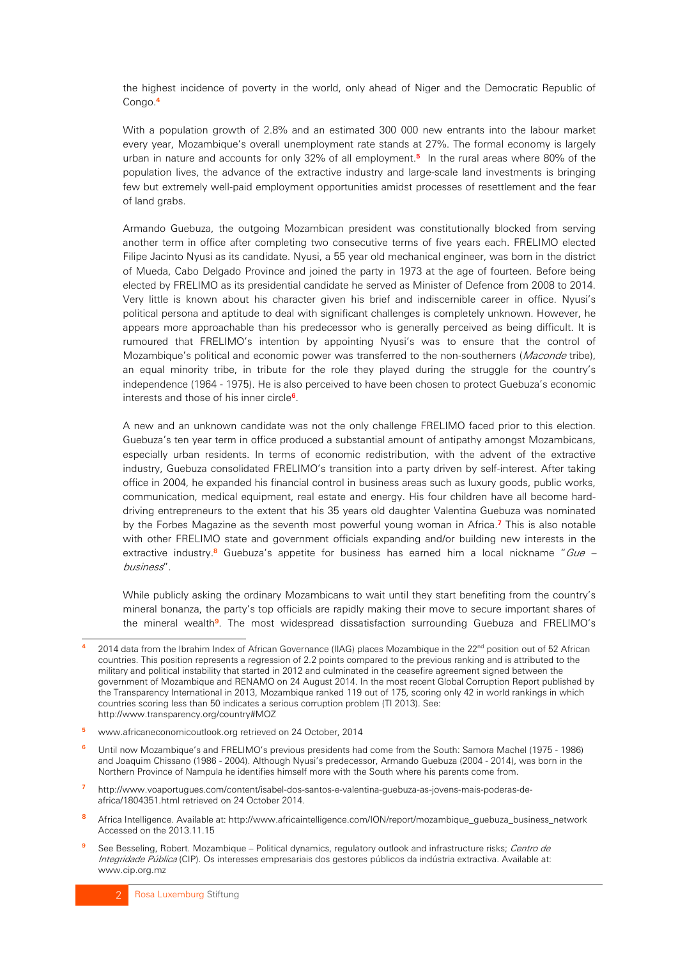the highest incidence of poverty in the world, only ahead of Niger and the Democratic Republic of Congo.**<sup>4</sup>**

With a population growth of 2.8% and an estimated 300 000 new entrants into the labour market every year, Mozambique's overall unemployment rate stands at 27%. The formal economy is largely urban in nature and accounts for only 32% of all employment.**<sup>5</sup>** In the rural areas where 80% of the population lives, the advance of the extractive industry and large-scale land investments is bringing few but extremely well-paid employment opportunities amidst processes of resettlement and the fear of land grabs.

Armando Guebuza, the outgoing Mozambican president was constitutionally blocked from serving another term in office after completing two consecutive terms of five years each. FRELIMO elected Filipe Jacinto Nyusi as its candidate. Nyusi, a 55 year old mechanical engineer, was born in the district of Mueda, Cabo Delgado Province and joined the party in 1973 at the age of fourteen. Before being elected by FRELIMO as its presidential candidate he served as Minister of Defence from 2008 to 2014. Very little is known about his character given his brief and indiscernible career in office. Nyusi's political persona and aptitude to deal with significant challenges is completely unknown. However, he appears more approachable than his predecessor who is generally perceived as being difficult. It is rumoured that FRELIMO's intention by appointing Nyusi's was to ensure that the control of Mozambique's political and economic power was transferred to the non-southerners (*Maconde* tribe), an equal minority tribe, in tribute for the role they played during the struggle for the country's independence (1964 - 1975). He is also perceived to have been chosen to protect Guebuza's economic interests and those of his inner circle**<sup>6</sup>**.

A new and an unknown candidate was not the only challenge FRELIMO faced prior to this election. Guebuza's ten year term in office produced a substantial amount of antipathy amongst Mozambicans, especially urban residents. In terms of economic redistribution, with the advent of the extractive industry, Guebuza consolidated FRELIMO's transition into a party driven by self-interest. After taking office in 2004, he expanded his financial control in business areas such as luxury goods, public works, communication, medical equipment, real estate and energy. His four children have all become harddriving entrepreneurs to the extent that his 35 years old daughter Valentina Guebuza was nominated by the Forbes Magazine as the seventh most powerful young woman in Africa.**<sup>7</sup>** This is also notable with other FRELIMO state and government officials expanding and/or building new interests in the extractive industry.<sup>8</sup> Guebuza's appetite for business has earned him a local nickname "Gue – business".

While publicly asking the ordinary Mozambicans to wait until they start benefiting from the country's mineral bonanza, the party's top officials are rapidly making their move to secure important shares of the mineral wealth**<sup>9</sup>**. The most widespread dissatisfaction surrounding Guebuza and FRELIMO's

- **<sup>5</sup>** www.africaneconomicoutlook.org retrieved on 24 October, 2014
- **<sup>6</sup>** Until now Mozambique's and FRELIMO's previous presidents had come from the South: Samora Machel (1975 1986) and Joaquim Chissano (1986 - 2004). Although Nyusi's predecessor, Armando Guebuza (2004 - 2014), was born in the Northern Province of Nampula he identifies himself more with the South where his parents come from.
- **<sup>7</sup>** http://www.voaportugues.com/content/isabel-dos-santos-e-valentina-guebuza-as-jovens-mais-poderas-deafrica/1804351.html retrieved on 24 October 2014.
- **<sup>8</sup>** Africa Intelligence. Available at: http://www.africaintelligence.com/ION/report/mozambique\_guebuza\_business\_network Accessed on the 2013.11.15
- **<sup>9</sup>** See Besseling, Robert. Mozambique Political dynamics, regulatory outlook and infrastructure risks; Centro de Integridade Pública (CIP). Os interesses empresariais dos gestores públicos da indústria extractiva. Available at: www.cip.org.mz

<sup>-</sup>2014 data from the Ibrahim Index of African Governance (IIAG) places Mozambique in the 22<sup>nd</sup> position out of 52 African countries. This position represents a regression of 2.2 points compared to the previous ranking and is attributed to the military and political instability that started in 2012 and culminated in the ceasefire agreement signed between the government of Mozambique and RENAMO on 24 August 2014. In the most recent Global Corruption Report published by the Transparency International in 2013, Mozambique ranked 119 out of 175, scoring only 42 in world rankings in which countries scoring less than 50 indicates a serious corruption problem (TI 2013). See: http://www.transparency.org/country#MOZ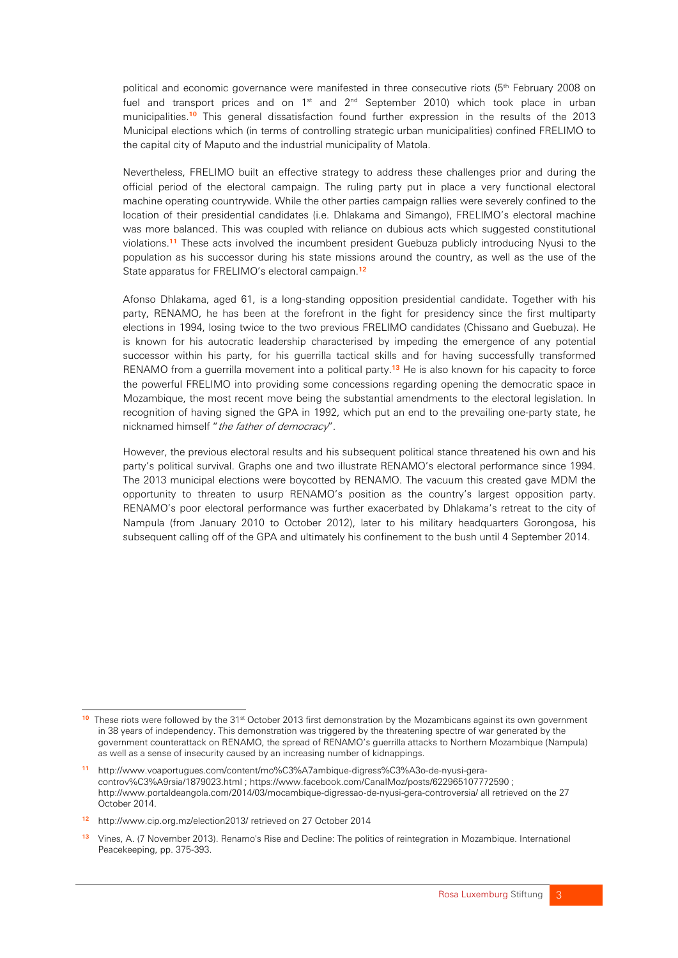political and economic governance were manifested in three consecutive riots (5<sup>th</sup> February 2008 on fuel and transport prices and on  $1^{st}$  and  $2^{nd}$  September 2010) which took place in urban municipalities.**<sup>10</sup>** This general dissatisfaction found further expression in the results of the 2013 Municipal elections which (in terms of controlling strategic urban municipalities) confined FRELIMO to the capital city of Maputo and the industrial municipality of Matola.

Nevertheless, FRELIMO built an effective strategy to address these challenges prior and during the official period of the electoral campaign. The ruling party put in place a very functional electoral machine operating countrywide. While the other parties campaign rallies were severely confined to the location of their presidential candidates (i.e. Dhlakama and Simango), FRELIMO's electoral machine was more balanced. This was coupled with reliance on dubious acts which suggested constitutional violations.**<sup>11</sup>** These acts involved the incumbent president Guebuza publicly introducing Nyusi to the population as his successor during his state missions around the country, as well as the use of the State apparatus for FRELIMO's electoral campaign.**<sup>12</sup>**

Afonso Dhlakama, aged 61, is a long-standing opposition presidential candidate. Together with his party, RENAMO, he has been at the forefront in the fight for presidency since the first multiparty elections in 1994, losing twice to the two previous FRELIMO candidates (Chissano and Guebuza). He is known for his autocratic leadership characterised by impeding the emergence of any potential successor within his party, for his guerrilla tactical skills and for having successfully transformed RENAMO from a guerrilla movement into a political party.**<sup>13</sup>** He is also known for his capacity to force the powerful FRELIMO into providing some concessions regarding opening the democratic space in Mozambique, the most recent move being the substantial amendments to the electoral legislation. In recognition of having signed the GPA in 1992, which put an end to the prevailing one-party state, he nicknamed himself "the father of democracy".

However, the previous electoral results and his subsequent political stance threatened his own and his party's political survival. Graphs one and two illustrate RENAMO's electoral performance since 1994. The 2013 municipal elections were boycotted by RENAMO. The vacuum this created gave MDM the opportunity to threaten to usurp RENAMO's position as the country's largest opposition party. RENAMO's poor electoral performance was further exacerbated by Dhlakama's retreat to the city of Nampula (from January 2010 to October 2012), later to his military headquarters Gorongosa, his subsequent calling off of the GPA and ultimately his confinement to the bush until 4 September 2014.

<sup>-</sup><sup>10</sup> These riots were followed by the 31<sup>st</sup> October 2013 first demonstration by the Mozambicans against its own government in 38 years of independency. This demonstration was triggered by the threatening spectre of war generated by the government counterattack on RENAMO, the spread of RENAMO's guerrilla attacks to Northern Mozambique (Nampula) as well as a sense of insecurity caused by an increasing number of kidnappings.

**<sup>11</sup>** http://www.voaportugues.com/content/mo%C3%A7ambique-digress%C3%A3o-de-nyusi-geracontrov%C3%A9rsia/1879023.html ; https://www.facebook.com/CanalMoz/posts/622965107772590 ; http://www.portaldeangola.com/2014/03/mocambique-digressao-de-nyusi-gera-controversia/ all retrieved on the 27 October 2014.

**<sup>12</sup>** http://www.cip.org.mz/election2013/ retrieved on 27 October 2014

**<sup>13</sup>** Vines, A. (7 November 2013). Renamo's Rise and Decline: The politics of reintegration in Mozambique. International Peacekeeping, pp. 375-393.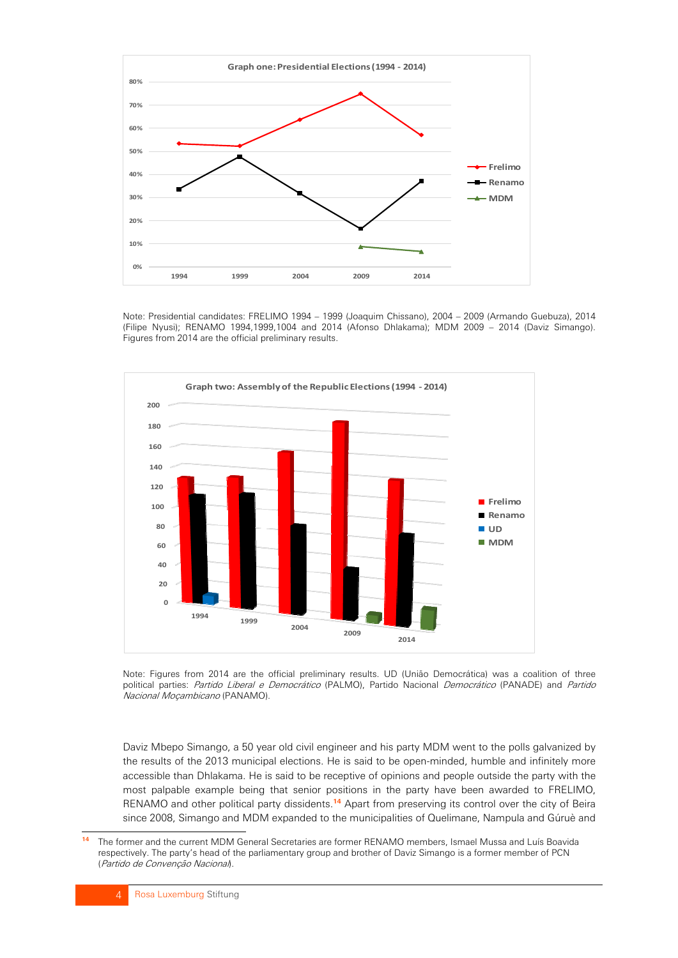

Note: Presidential candidates: FRELIMO 1994 – 1999 (Joaquim Chissano), 2004 – 2009 (Armando Guebuza), 2014 (Filipe Nyusi); RENAMO 1994,1999,1004 and 2014 (Afonso Dhlakama); MDM 2009 – 2014 (Daviz Simango). Figures from 2014 are the official preliminary results.



Note: Figures from 2014 are the official preliminary results. UD (União Democrática) was a coalition of three political parties: Partido Liberal e Democrático (PALMO), Partido Nacional Democrático (PANADE) and Partido Nacional Moçambicano (PANAMO).

Daviz Mbepo Simango, a 50 year old civil engineer and his party MDM went to the polls galvanized by the results of the 2013 municipal elections. He is said to be open-minded, humble and infinitely more accessible than Dhlakama. He is said to be receptive of opinions and people outside the party with the most palpable example being that senior positions in the party have been awarded to FRELIMO, RENAMO and other political party dissidents.**<sup>14</sup>** Apart from preserving its control over the city of Beira since 2008, Simango and MDM expanded to the municipalities of Quelimane, Nampula and Gúruè and

 $14$ **<sup>14</sup>** The former and the current MDM General Secretaries are former RENAMO members, Ismael Mussa and Luís Boavida respectively. The party's head of the parliamentary group and brother of Daviz Simango is a former member of PCN (Partido de Convenção Nacional).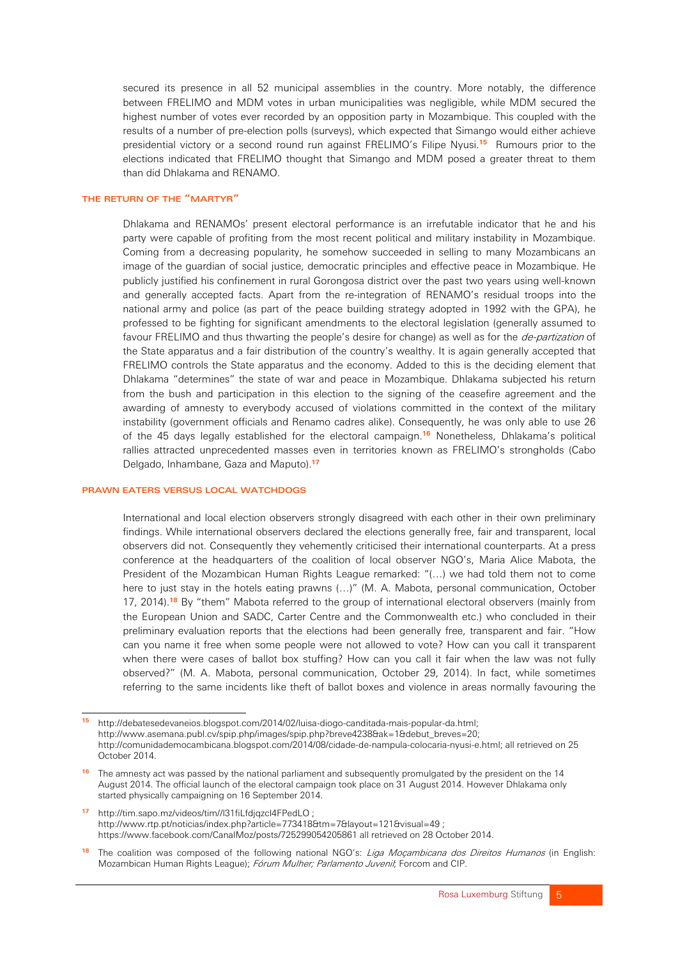secured its presence in all 52 municipal assemblies in the country. More notably, the difference between FRELIMO and MDM votes in urban municipalities was negligible, while MDM secured the highest number of votes ever recorded by an opposition party in Mozambique. This coupled with the results of a number of pre-election polls (surveys), which expected that Simango would either achieve presidential victory or a second round run against FRELIMO's Filipe Nyusi.**<sup>15</sup>** Rumours prior to the elections indicated that FRELIMO thought that Simango and MDM posed a greater threat to them than did Dhlakama and RENAMO.

#### THE RETURN OF THE "MARTYR"

Dhlakama and RENAMOs' present electoral performance is an irrefutable indicator that he and his party were capable of profiting from the most recent political and military instability in Mozambique. Coming from a decreasing popularity, he somehow succeeded in selling to many Mozambicans an image of the guardian of social justice, democratic principles and effective peace in Mozambique. He publicly justified his confinement in rural Gorongosa district over the past two years using well-known and generally accepted facts. Apart from the re-integration of RENAMO's residual troops into the national army and police (as part of the peace building strategy adopted in 1992 with the GPA), he professed to be fighting for significant amendments to the electoral legislation (generally assumed to favour FRELIMO and thus thwarting the people's desire for change) as well as for the *de-partization* of the State apparatus and a fair distribution of the country's wealthy. It is again generally accepted that FRELIMO controls the State apparatus and the economy. Added to this is the deciding element that Dhlakama "determines" the state of war and peace in Mozambique. Dhlakama subjected his return from the bush and participation in this election to the signing of the ceasefire agreement and the awarding of amnesty to everybody accused of violations committed in the context of the military instability (government officials and Renamo cadres alike). Consequently, he was only able to use 26 of the 45 days legally established for the electoral campaign.**<sup>16</sup>** Nonetheless, Dhlakama's political rallies attracted unprecedented masses even in territories known as FRELIMO's strongholds (Cabo Delgado, Inhambane, Gaza and Maputo).**<sup>17</sup>**

#### PRAWN EATERS VERSUS LOCAL WATCHDOGS

International and local election observers strongly disagreed with each other in their own preliminary findings. While international observers declared the elections generally free, fair and transparent, local observers did not. Consequently they vehemently criticised their international counterparts. At a press conference at the headquarters of the coalition of local observer NGO's, Maria Alice Mabota, the President of the Mozambican Human Rights League remarked: "(…) we had told them not to come here to just stay in the hotels eating prawns (…)" (M. A. Mabota, personal communication, October 17, 2014).**<sup>18</sup>** By "them" Mabota referred to the group of international electoral observers (mainly from the European Union and SADC, Carter Centre and the Commonwealth etc.) who concluded in their preliminary evaluation reports that the elections had been generally free, transparent and fair. "How can you name it free when some people were not allowed to vote? How can you call it transparent when there were cases of ballot box stuffing? How can you call it fair when the law was not fully observed?" (M. A. Mabota, personal communication, October 29, 2014). In fact, while sometimes referring to the same incidents like theft of ballot boxes and violence in areas normally favouring the

**<sup>17</sup>** http://tim.sapo.mz/videos/tim//l31fiLfdjqzcl4FPedLO ; http://www.rtp.pt/noticias/index.php?article=773418&tm=7&layout=121&visual=49 ; https://www.facebook.com/CanalMoz/posts/725299054205861 all retrieved on 28 October 2014.

<sup>-</sup>**<sup>15</sup>** http://debatesedevaneios.blogspot.com/2014/02/luisa-diogo-canditada-mais-popular-da.html; http://www.asemana.publ.cv/spip.php/images/spip.php?breve4238&ak=1&debut\_breves=20; http://comunidademocambicana.blogspot.com/2014/08/cidade-de-nampula-colocaria-nyusi-e.html; all retrieved on 25 October 2014.

**<sup>16</sup>** The amnesty act was passed by the national parliament and subsequently promulgated by the president on the 14 August 2014. The official launch of the electoral campaign took place on 31 August 2014. However Dhlakama only started physically campaigning on 16 September 2014.

**<sup>18</sup>** The coalition was composed of the following national NGO's: Liga Moçambicana dos Direitos Humanos (in English: Mozambican Human Rights League); Fórum Mulher; Parlamento Juvenil; Forcom and CIP.